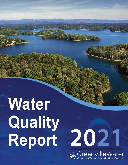# Water Quality Report



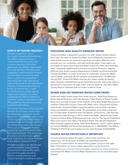

### **HOW IS MY WATER TREATED?**

All water supplied to you is thoroughly treated and disinfected. The Adkins Treatment Plant, a conventional filtration plant with a current capacity of 90 million gallons per day (MGD), draws water from Lake Keowee. This plant uses coagulation, sedimentation, filtration and disinfection to treat the water. Alum is used in the coagulation step along with small amounts of sodium hydroxide for pH adjustment. Chlorine combined with ammonia, known as chloramines, is used for disinfection to protect against water-borne diseases. An ortho/ polyphosphate blend is added for corrosion control. In accordance with EPA guidelines, fluoride is provided to prevent tooth decay.

The Stovall Treatment Plant provides filtration for all water drawn from the Table Rock and North Saluda Reservoirs. This 75 MGD plant is one of the largest in the United States to use Dissolved Air Flotation (DAF) in the treatment process. The Stovall Plant uses an innovative flotation process for particle removal rather than sedimentation. The remaining processes and chemicals used for water treatment are similar to those at the Adkins Treatment Plant.

All treatment plants are maintained and monitored by State Certified Environmental Systems Operators who are thoroughly trained to perform routine chemical and physical testing for treatment control.

#### **PROVIDING HIGH QUALITY DRINKING WATER**

Greenville Water is pleased to present our 2021 Water Quality Report. Each year, the team at Greenville Water works diligently to protect our watersheds, ensure our treatment practices are highly effective, and provide you, our customers, with safe drinking water. Once again, we are happy to report that Greenville Water meets all of the strict drinking water standards established by the Environmental Protection Agency (EPA) and the South Carolina Department of Health and Environmental Control (SCDHEC). In order to protect its customers, Greenville Water and SCDHEC collected 28,767 samples and performed 118,080 tests during 2021. Greenville Water ensures your water quality by testing water samples collected during the treatment process and as the water is delivered to customers through 3,057 miles of pipeline. The 2021 Water Quality Report indicates that our water is safe to drink.

## **WHERE DOES MY DRINKING WATER COME FROM?**

Greenville Water draws water from three sources: Table Rock Reservoir, North Saluda Reservoir and Lake Keowee. Table Rock and North Saluda Reservoirs are both located in the foothills of the Blue Ridge Mountains in northern Greenville County. Greenville Water owns 100 percent of both watersheds. Greenville Water regularly patrols and carefully maintains these uninhabited, pristine lands. The properties are further protected by a Conservation Easement with The Nature Conservancy. Lake Keowee is owned by Duke Energy. In 2013, Greenville Water obtained two South Carolina Surface Water Withdrawal permits, one for The Stovall Treatment Plant and one for The Adkins Treatment Plant. The Stovall Treatment Plant has two supply sources, Table Rock Reservoir (2,077 million gallons per month [MGM]) and North Saluda Reservoir (1,860 MGM). The Adkins Treatment Plant has one supply source, Lake Keowee (4,650 MGM).

# **SOURCE WATER PROTECTION IS IMPORTANT**

To raise awareness about the ways in which water pollution can impact your drinking water, SCDHEC has identified potential sources of contamination for each drinking water source in the state. More information on source water assessment can be found at: www.scdhec.gov/environment/your-water-coast/source-water-protection and Greenville Water's Source Water Assessment can be reviewed upon request.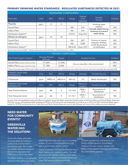# **PRIMARY DRINKING WATER STANDARDS - REGULATED SUBSTANCES DETECTED IN 2021**

| <b>INORGANIC COMPOUNDS</b>   |              |            |             |             |                              |                                                                                            |           |
|------------------------------|--------------|------------|-------------|-------------|------------------------------|--------------------------------------------------------------------------------------------|-----------|
| Parameter                    | <b>Units</b> | <b>MCL</b> | <b>MCLG</b> | Range       | Highest<br>Level<br>Detected | Possible<br>Sources                                                                        | Violation |
| <b>Fluoride</b>              | ppm          | 4          | 4           |             |                              | Drinking water<br>additive<br>Fluoride added during<br>treatment to prevent<br>tooth decay |           |
| Stovall Plant                |              |            |             | <b>NA</b>   | $0.6*$                       |                                                                                            | <b>NO</b> |
| <b>Adkins Plant</b>          |              |            |             | <b>NA</b>   | $0.6*$                       |                                                                                            | <b>NO</b> |
| Distribution System**        |              |            |             | $0.5 - 0.7$ | Avg.= $0.6$                  |                                                                                            | <b>NO</b> |
| <b>Nitrate (as nitrogen)</b> | ppm          | 10         | 10          |             |                              |                                                                                            |           |
| Stovall Plant                |              |            |             | <b>NA</b>   | $ND*$                        | Erosion of natural<br>deposits; fertilizer<br>runoff, By-products<br>of nitrification      | <b>NO</b> |
| <b>Adkins Plant</b>          |              |            |             | <b>NA</b>   | $0.08*$                      |                                                                                            | <b>NO</b> |
| Distribution System**        |              |            |             | ND-0.50     | Avg. $=0.07$                 |                                                                                            | <b>NO</b> |

\*Results obtained by SCDHEC. \*\*Results obtained by Greenville Water's certified laboratory in 2021.

| ORGANIC COMPOUNDS                                                                                                                             |                            |            |             |                                     |                     |                                |           |  |
|-----------------------------------------------------------------------------------------------------------------------------------------------|----------------------------|------------|-------------|-------------------------------------|---------------------|--------------------------------|-----------|--|
| TOC (Total Organic Carbon)                                                                                                                    | Average Percent<br>Removal |            | Range       | <b>Possible Sources</b>             |                     |                                | Violation |  |
| Stovall Plant (samples collected monthly)                                                                                                     |                            | TT: 26%    | 17-36%      |                                     |                     | $NO^*$                         |           |  |
| Adkins Plant (samples collected monthly)                                                                                                      |                            | TT: 18%    | 8-26%       | Occurs naturally in the environment |                     | $NO^*$                         |           |  |
| *Due to low raw water TOC levels, Adkins and Stovall plants remain in compliance even when the percent removal is less than the required 35%. |                            |            |             |                                     |                     |                                |           |  |
| <b>DISINFECTANTS AND</b><br><b>BYPRODUCTS</b>                                                                                                 | Units                      | <b>MCL</b> | <b>MCLG</b> | Range                               | Average             | Possible Sources               | Violation |  |
| Chloramine                                                                                                                                    | ppm                        | $MRDL=4$   | $MRDLG=4$   | $ND-3.2$                            | 2.3                 | Water disinfectant             | <b>NO</b> |  |
| <b>DISINFECTANTS AND</b><br><b>BYPRODUCTS</b>                                                                                                 | Units                      | <b>MCL</b> | <b>MCLG</b> | Range                               | Maximum<br>Location | Possible Sources               | Violation |  |
| <b>Total Trihalomethanes</b>                                                                                                                  | ppb                        | 80         | $\Omega$    | $7.5 - 14.8$                        | $LRAA =$<br>12.5    | By-products of<br>disinfection | <b>NO</b> |  |
| <b>Total Haloacetic Acids</b>                                                                                                                 | ppb                        | 60         | $\Omega$    | $5.1 - 15.7$                        | $LRAA =$<br>13.1    | By-products of<br>disinfection | <b>NO</b> |  |

As part of the Unregulated Contaminant Monitoring Rule, Greenville Water tested the finished water at both the Adkins and Stovall Water Treatment Plants for six per- and polyfluoroalkyl substances (PFAS) in 2014 and none were detected. As a follow up, in 2019 and 2021 Greenville Water again tested for 39 PFAS compounds at our Table Rock and North Saluda Reservoirs and at Lake Keowee and none of the substances were detected.

# **NEED WATER FOR COMMUNITY EVENTS?**

# **GREENVILLE WATER HAS THE SOLUTION!**

Greenville Water provides drinking water for outdoor community events held in our service area. We do this as a public service to support the community and share information about tap water.

The Water Buffalo is designed to dispense 400 gallons of clean,



refreshing tap water into cups or reusable bottles. It is an environmentally friendly way to serve water at your event!

Just as important, we can also provide Hand Wash Stations for outdoor events. Our staff will deliver the stations, fill them with water and stock the station with paper towels and soap. We have six stations available.



To view guidelines and reserve the Water Buffalo and/or Hand Wash Stations for your event, please visit https://www.greenvillewater.com/waterfor-community-events/.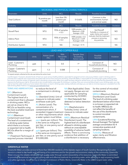| MICROBIAL AND PHYSICAL CHARACTERISTICS |                         |                                       |                                                              |                                                                        |           |  |  |
|----------------------------------------|-------------------------|---------------------------------------|--------------------------------------------------------------|------------------------------------------------------------------------|-----------|--|--|
| <b>Parameter</b>                       | <b>Units</b>            | <b>MCL</b>                            | <b>Results</b>                                               | <b>Possible Sources</b>                                                | Violation |  |  |
| <b>Total Coliform</b>                  | % positive per<br>month | Less than 5%<br>positive per<br>month | $0 - 0.66%$                                                  | Common in the<br>environment; human<br>and animal waste                | <b>NO</b> |  |  |
| Turbidity                              | <b>Units</b>            | <b>MCL</b>                            | Results                                                      | <b>Possible Sources</b>                                                | Violation |  |  |
| Stovall Plant                          | <b>NTU</b>              | 95% of samples<br>< 0.3               | 100% samples $< 0.3$<br>$Maximum = 0.06$<br>Average $= 0.03$ | Soil Runoff<br>Turbidity is a measure of<br>water clarity and a good   | <b>NO</b> |  |  |
| <b>Adkins Plant</b>                    | <b>NTU</b>              | 95% of samples<br>< 0.3               | 100% samples $< 0.3$<br>Maximum $= 0.09$<br>Average= 0.04    | indicator that the treatment<br>process is removing<br>tiny particles. | <b>NO</b> |  |  |
| Distribution System                    | <b>NTU</b>              | <b>NA</b>                             | Average $= 0.15$                                             |                                                                        | <b>NA</b> |  |  |

| <b>LEAD AND COPPER RULE</b>     |              |                             |                             |                                                         |                                    |           |  |
|---------------------------------|--------------|-----------------------------|-----------------------------|---------------------------------------------------------|------------------------------------|-----------|--|
| Parameter                       | <b>Units</b> | <b>Action Level</b><br>(AL) | 90th<br>Percentile<br>Value | <b>Sample Sites</b><br>Exceeding<br><b>Action Level</b> | Possible<br>Sources                | Violation |  |
| Lead - Customer's<br>Plumbing   | ppb          | 15                          | 0.0                         | $1*$                                                    | Corrosion of<br>household plumbing | <b>NO</b> |  |
| Copper - Customer's<br>Plumbing | ppm          | 1.3                         | 0.088                       |                                                         | Corrosion of<br>household plumbing | <b>NO</b> |  |

\*A repeat sample collected at this site was below the action level.

Lead & Copper: If present, elevated levels of lead can cause serious health problems, especially for pregnant women and young children. Lead in drinking water is primarily from materials and components associated with service lines and home plumbing. Greenville Water is responsible for providing high-quality drinking water, but cannot control the variety of materials used in plumbing components. When your water has been sitting for several hours, you can minimize the potential for lead exposure by flushing your tap for 30 seconds to two minutes before using water for drinking or cooking. If you are concerned about lead in your drinking water, you may wish to have the water inside your home tested. Information on lead in drinking water, testing methods, and steps you can take to minimize exposure is available from the Safe Drinking Water Hotline or at www.epa.gov/safewater/lead.

TERMS AND ABBREVIATIONS

#### MCL (Maximum

Contaminant Level): The highest level of a contaminant that is allowed in drinking water. MCLs are set as close to the MCLGs as feasible using the best available treatment technology.

MCLG (Maximum Contaminant Level Goal): The level of a contaminant in drinking water below which there is no known or expected risk to health. MCLGs allow for a margin of

safety. TT (Treatment Technique): A required process intended

to reduce the level of a contaminant in drinking water.

SU (Standard Units): Unit of measure to indicate water acid/base scale (pH).

AL (Action Level): The concentration of a contaminant which, if exceeded, triggers treatment measure to indicate water or other requirements which clarity. a water system must follow.

ppm (parts per million): This is the same as milligrams per liter, or one penny out of \$10,000.

ppb (parts per billion): This is the same as micrograms per liter, or one penny out of \$10,000,000.

NA (Not Applicable): Does not apply. Ranges are not applicable for sampling conducted by SCDHEC.

ND (Not Detected): Not detected or below detection limits.

NTU (Nephelometric Turbidity Units): Units of

MRDL (Maximum Residual Disinfectant Level): The highest level of a disinfectant allowed in drinking water without an unacceptable possibility of adverse health effects. There is convincing evidence that addition of a disinfectant is necessary

for the control of microbial contaminants.

MRDLG (Maximum Residual Disinfectant Level Goal): The level of a drinking water disinfectant below which there is no known or expected risk to health. MRDLGs do not reflect the benefits of the use of the disinfectants to control microbial contaminants.

LRAA (Locational Running Annual Average): The highest average concentration for 4 consecutive quarters at all sampling locations.

Turbidity: Measure of water clarity and filtration effectiveness.

## **GREENVILLE WATER**

Greenville Water provides service to more than 500,000 residents of the Upstate region of South Carolina. Recognizing that water service is critical to the health and well-being of its customers and for the growth and economic vitality of the community, Greenville Water ensures the reliable delivery of high-quality water through careful stewardship of its resources. Greenville Water is committed to providing exceptional service and utilizing safe and effective methods for providing water, while adhering to and surpassing health and safety standards. Governed by an elected Commission of Public Works, Greenville Water is the state's largest water utility.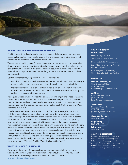

# **IMPORTANT INFORMATION FROM THE EPA**

Drinking water, including bottled water, may reasonably be expected to contain at least small amounts of some contaminants. The presence of contaminants does not necessarily indicate that water poses a health risk.

The sources of drinking water (both tap water and bottled water) include rivers, lakes, streams, ponds, reservoirs, springs and wells. As water travels over the surface of the land or through the ground, it dissolves naturally occurring minerals and radioactive material, and can pick up substances resulting from the presence of animals or from human activity.

Contaminants that may be present in source water include:

- Microbial contaminants, such as viruses and bacteria, which may come from sewage treatment plants, septic systems, agricultural livestock operations and wildlife.
- Inorganic contaminants, such as salts and metals, which can be naturally occurring or result from urban storm runoff, industrial or domestic wastewater discharges, oil and gas production, mining or farming.

Inadequately treated water may contain disease-causing organisms. These organisms include bacteria, viruses, and parasites which can cause symptoms such as nausea, cramps, diarrhea, and associated headaches. More information about contaminants and potential health effects can be obtained by calling the EPA's Safe Drinking Water Hotline (800-426-4791).

In order to ensure that tap water is safe to drink, EPA prescribes regulations which limit the amount of certain contaminants in water provided by public water systems. Food and Drug Administration regulations establish limits for contaminants in bottled water which must provide the same protection for public health. Some people may be more vulnerable to contaminants in drinking water than the general population. Immunocompromised persons, such as persons with cancer undergoing chemotherapy, persons who have undergone organ transplants, people with HIV/AIDS or other immune system disorders, some elderly, and infants can be particularly at risk from infections. These people should seek advice about drinking water from their health care providers. EPA/Centers for Disease Control and Prevention guidelines on appropriate means to lessen the risk of infection by Cryptosporidium or other microbial contaminants are also available from the EPA's Safe Drinking Water Hotline (800-426-4791).

## **WHAT IF I HAVE QUESTIONS?**

If you would like more information about water treatment techniques or about our water quality, contact Greenville Water's Laboratory at (864) 241-7838. You can also visit our website at www.greenvillewater.com or contact us by email at laboratory@greenvillewater.com.

#### **COMMISSIONERS OF PUBLIC WORKS**

Phillip A. Kilgore - Chair

James W. Bannister - Vice Chair

Debra M. Sofield - Commissioner

Knox White - Mayor, City of Greenville; Ex-Officio Member

Wil Brasington - Councilman, City of Greenville; Ex-Officio Member

#### **CONTACT US**

#### **David H. Bereskin, P.E.**

Chief Executive Officer (864) 241-6004 bereskind@greenvillewater.com

#### **Jeff Boss**

Chief Operating Officer (864) 241-6005 jboss@greenvillewater.com

#### **Jeff Phillips**

Director of Water Resources (864) 241-7833 jphillips@greenvillewater.com

**Customer Service** (864) 241-6000

**Engineering**  (864) 241-6100

**Laboratory**  (864) 241-7838

#### **COMMISSION MEETINGS**

Unless otherwise noted, Greenville Water Commission meetings are held on the first Tuesday of each month at 8:15 a.m. Meeting agendas, minutes and schedule are posted online at www.greenvillewater.com.